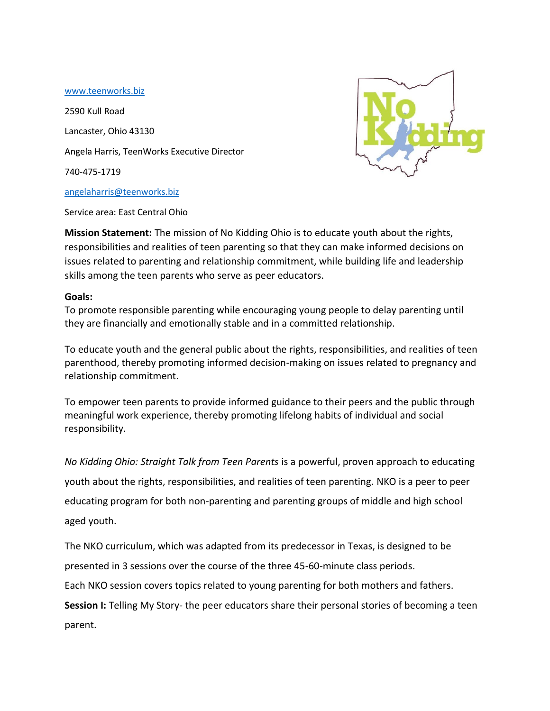## [www.teenworks.biz](http://www.teenworks.biz/)

2590 Kull Road Lancaster, Ohio 43130 Angela Harris, TeenWorks Executive Director 740-475-1719 [angelaharris@teenworks.biz](mailto:angelaharris@teenworks.biz)



Service area: East Central Ohio

**Mission Statement:** The mission of No Kidding Ohio is to educate youth about the rights, responsibilities and realities of teen parenting so that they can make informed decisions on issues related to parenting and relationship commitment, while building life and leadership skills among the teen parents who serve as peer educators.

## **Goals:**

To promote responsible parenting while encouraging young people to delay parenting until they are financially and emotionally stable and in a committed relationship.

To educate youth and the general public about the rights, responsibilities, and realities of teen parenthood, thereby promoting informed decision-making on issues related to pregnancy and relationship commitment.

To empower teen parents to provide informed guidance to their peers and the public through meaningful work experience, thereby promoting lifelong habits of individual and social responsibility.

*No Kidding Ohio: Straight Talk from Teen Parents* is a powerful, proven approach to educating youth about the rights, responsibilities, and realities of teen parenting. NKO is a peer to peer educating program for both non-parenting and parenting groups of middle and high school aged youth.

The NKO curriculum, which was adapted from its predecessor in Texas, is designed to be

presented in 3 sessions over the course of the three 45-60-minute class periods.

Each NKO session covers topics related to young parenting for both mothers and fathers.

**Session I:** Telling My Story- the peer educators share their personal stories of becoming a teen parent.